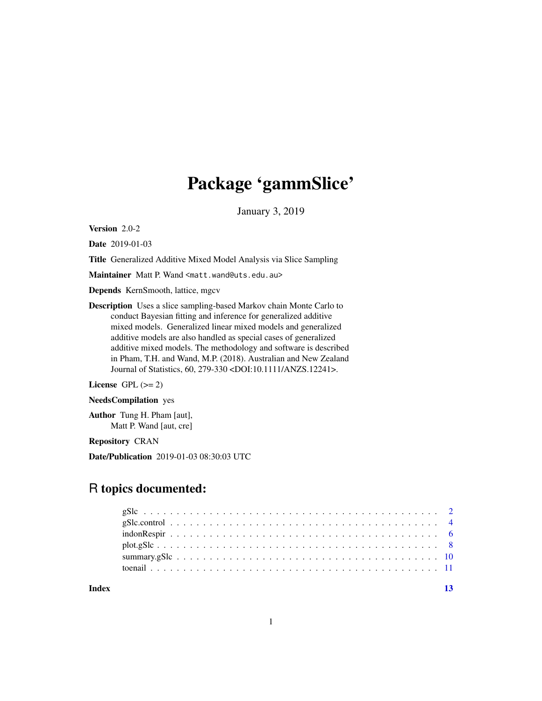## Package 'gammSlice'

January 3, 2019

Version 2.0-2

Date 2019-01-03

Title Generalized Additive Mixed Model Analysis via Slice Sampling

Maintainer Matt P. Wand <matt.wand@uts.edu.au>

Depends KernSmooth, lattice, mgcv

Description Uses a slice sampling-based Markov chain Monte Carlo to conduct Bayesian fitting and inference for generalized additive mixed models. Generalized linear mixed models and generalized additive models are also handled as special cases of generalized additive mixed models. The methodology and software is described in Pham, T.H. and Wand, M.P. (2018). Australian and New Zealand Journal of Statistics, 60, 279-330 <DOI:10.1111/ANZS.12241>.

License GPL  $(>= 2)$ 

NeedsCompilation yes

Author Tung H. Pham [aut], Matt P. Wand [aut, cre]

Repository CRAN

Date/Publication 2019-01-03 08:30:03 UTC

### R topics documented:

| Index |  |  |  |  |  |  |  |  |  |  |  |  |  |  |  |  |  |  |
|-------|--|--|--|--|--|--|--|--|--|--|--|--|--|--|--|--|--|--|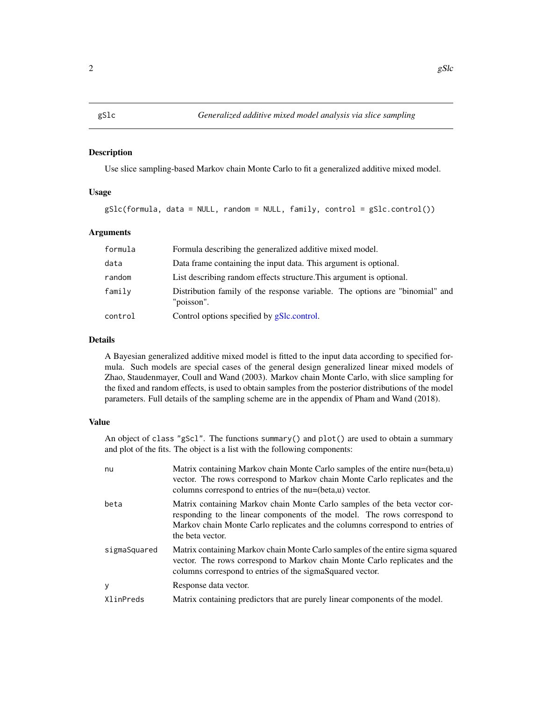#### Description

Use slice sampling-based Markov chain Monte Carlo to fit a generalized additive mixed model.

#### Usage

gSlc(formula, data = NULL, random = NULL, family, control = gSlc.control())

#### Arguments

| formula | Formula describing the generalized additive mixed model.                                   |
|---------|--------------------------------------------------------------------------------------------|
| data    | Data frame containing the input data. This argument is optional.                           |
| random  | List describing random effects structure. This argument is optional.                       |
| family  | Distribution family of the response variable. The options are "binomial" and<br>"poisson". |
| control | Control options specified by gSlc.control.                                                 |

#### Details

A Bayesian generalized additive mixed model is fitted to the input data according to specified formula. Such models are special cases of the general design generalized linear mixed models of Zhao, Staudenmayer, Coull and Wand (2003). Markov chain Monte Carlo, with slice sampling for the fixed and random effects, is used to obtain samples from the posterior distributions of the model parameters. Full details of the sampling scheme are in the appendix of Pham and Wand (2018).

#### Value

An object of class "gScl". The functions summary() and  $plot()$  are used to obtain a summary and plot of the fits. The object is a list with the following components:

| nu           | Matrix containing Markov chain Monte Carlo samples of the entire nu=(beta,u)<br>vector. The rows correspond to Markov chain Monte Carlo replicates and the<br>columns correspond to entries of the nu=(beta,u) vector.                                     |
|--------------|------------------------------------------------------------------------------------------------------------------------------------------------------------------------------------------------------------------------------------------------------------|
| beta         | Matrix containing Markov chain Monte Carlo samples of the beta vector cor-<br>responding to the linear components of the model. The rows correspond to<br>Markov chain Monte Carlo replicates and the columns correspond to entries of<br>the beta vector. |
| sigmaSquared | Matrix containing Markov chain Monte Carlo samples of the entire sigma squared<br>vector. The rows correspond to Markov chain Monte Carlo replicates and the<br>columns correspond to entries of the sigmaSquared vector.                                  |
| y            | Response data vector.                                                                                                                                                                                                                                      |
| XlinPreds    | Matrix containing predictors that are purely linear components of the model.                                                                                                                                                                               |

#### <span id="page-1-1"></span><span id="page-1-0"></span>gSlc *Generalized additive mixed model analysis via slice sampling*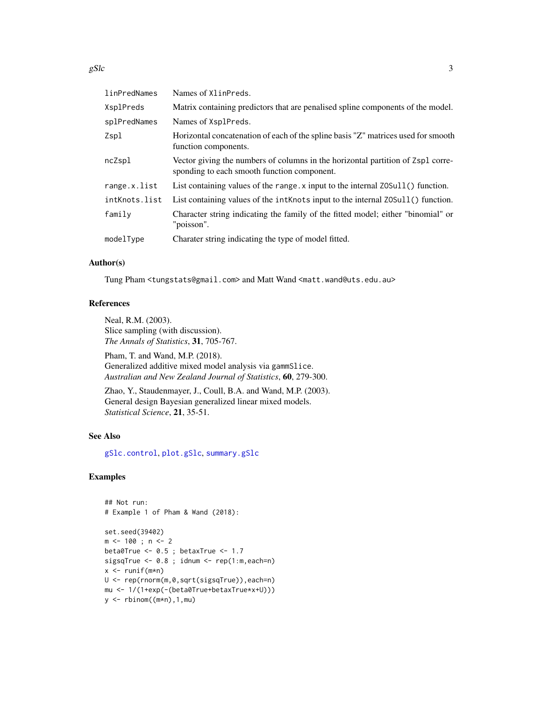<span id="page-2-0"></span>gSlc  $\sim$  3

| linPredNames  | Names of XlinPreds.                                                                                                            |
|---------------|--------------------------------------------------------------------------------------------------------------------------------|
| XsplPreds     | Matrix containing predictors that are penalised spline components of the model.                                                |
| splPredNames  | Names of XsplPreds.                                                                                                            |
| Zspl          | Horizontal concatenation of each of the spline basis "Z" matrices used for smooth<br>function components.                      |
| ncZspl        | Vector giving the numbers of columns in the horizontal partition of Zspl corre-<br>sponding to each smooth function component. |
| range.x.list  | List containing values of the range. x input to the internal Z0Sull() function.                                                |
| intKnots.list | List containing values of the int Knots input to the internal Z0Sull () function.                                              |
| family        | Character string indicating the family of the fitted model; either "binomial" or<br>"poisson".                                 |
| modelType     | Charater string indicating the type of model fitted.                                                                           |

#### Author(s)

Tung Pham <tungstats@gmail.com> and Matt Wand <matt.wand@uts.edu.au>

#### References

Neal, R.M. (2003). Slice sampling (with discussion). *The Annals of Statistics*, 31, 705-767.

Pham, T. and Wand, M.P. (2018). Generalized additive mixed model analysis via gammSlice. *Australian and New Zealand Journal of Statistics*, 60, 279-300.

Zhao, Y., Staudenmayer, J., Coull, B.A. and Wand, M.P. (2003). General design Bayesian generalized linear mixed models. *Statistical Science*, 21, 35-51.

#### See Also

[gSlc.control](#page-3-1), [plot.gSlc](#page-7-1), [summary.gSlc](#page-9-1)

#### Examples

```
## Not run:
# Example 1 of Pham & Wand (2018):
set.seed(39402)
m < -100; n < -2beta\thetaTrue <- \theta.5 ; betaxTrue <- 1.7
sigsqTrue <- 0.8 ; idnum <- rep(1:m,each=n)
x \leftarrow runif(m*n)U <- rep(rnorm(m,0,sqrt(sigsqTrue)),each=n)
mu <- 1/(1+exp(-(beta0True+betaxTrue*x+U)))
y \leftarrow \text{rbinom}((m*n), 1, mu)
```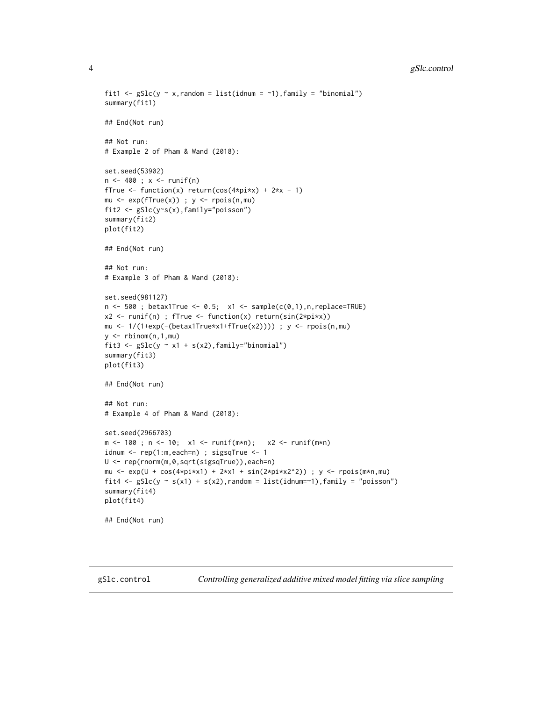```
fit1 <- gSlc(y \sim x, \text{random} = list(\text{idnum} = \sim 1), \text{family} = \text{"binomial"}summary(fit1)
## End(Not run)
## Not run:
# Example 2 of Pham & Wand (2018):
set.seed(53902)
n < -400; x < -runif(n)
fTrue \le function(x) return(cos(4*pi*x) + 2*x - 1)
mu \leq exp(fTrue(x)) ; y \leq rpois(n,mu)
fit2 <- gSlc(y~s(x),family="poisson")
summary(fit2)
plot(fit2)
## End(Not run)
## Not run:
# Example 3 of Pham & Wand (2018):
set.seed(981127)
n <- 500 ; betax1True <- 0.5; x1 <- sample(c(0,1),n,replace=TRUE)
x2 <- runif(n) ; fTrue <- function(x) return(sin(2*pi*x))
mu <- 1/(1+exp(-(beta x1True*x1+fTrue(x2)))); y <- rpois(n,mu)y \leftarrow rbinom(n,1,mu)fit3 <- gSlc(y \sim x1 + s(x2), family="binomial")
summary(fit3)
plot(fit3)
## End(Not run)
## Not run:
# Example 4 of Pham & Wand (2018):
set.seed(2966703)
m <- 100 ; n <- 10; x1 <- runif(m*n); x2 <- runif(m*n)idnum <- rep(1:m,each=n) ; sigsqTrue <- 1
U <- rep(rnorm(m,0,sqrt(sigsqTrue)),each=n)
mu <- exp(U + cos(4*pi*x1) + 2*x1 + sin(2*pi*x2^2)) ; y <- rpois(m*n,mu)
fit4 <- gSlc(y \sim s(x1) + s(x2), random = list(idnum=~1), family = "poisson")
summary(fit4)
plot(fit4)
## End(Not run)
```
<span id="page-3-1"></span>gSlc.control *Controlling generalized additive mixed model fitting via slice sampling*

<span id="page-3-0"></span>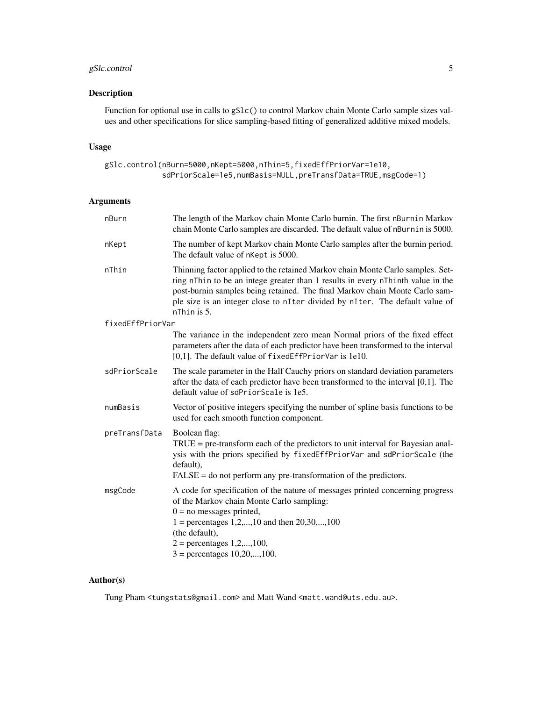#### gSlc.control 5

#### Description

Function for optional use in calls to gSlc() to control Markov chain Monte Carlo sample sizes values and other specifications for slice sampling-based fitting of generalized additive mixed models.

#### Usage

gSlc.control(nBurn=5000,nKept=5000,nThin=5,fixedEffPriorVar=1e10, sdPriorScale=1e5,numBasis=NULL,preTransfData=TRUE,msgCode=1)

#### Arguments

| nBurn            | The length of the Markov chain Monte Carlo burnin. The first nBurnin Markov<br>chain Monte Carlo samples are discarded. The default value of nBurnin is 5000.                                                                                                                                                                                   |
|------------------|-------------------------------------------------------------------------------------------------------------------------------------------------------------------------------------------------------------------------------------------------------------------------------------------------------------------------------------------------|
| nKept            | The number of kept Markov chain Monte Carlo samples after the burnin period.<br>The default value of nKept is 5000.                                                                                                                                                                                                                             |
| nThin            | Thinning factor applied to the retained Markov chain Monte Carlo samples. Set-<br>ting nThin to be an intege greater than 1 results in every nThinth value in the<br>post-burnin samples being retained. The final Markov chain Monte Carlo sam-<br>ple size is an integer close to nIter divided by nIter. The default value of<br>nThin is 5. |
| fixedEffPriorVar |                                                                                                                                                                                                                                                                                                                                                 |
|                  | The variance in the independent zero mean Normal priors of the fixed effect<br>parameters after the data of each predictor have been transformed to the interval<br>$[0,1]$ . The default value of fixed EffPriorVar is 1e10.                                                                                                                   |
| sdPriorScale     | The scale parameter in the Half Cauchy priors on standard deviation parameters<br>after the data of each predictor have been transformed to the interval [0,1]. The<br>default value of sdPriorScale is 1e5.                                                                                                                                    |
| numBasis         | Vector of positive integers specifying the number of spline basis functions to be<br>used for each smooth function component.                                                                                                                                                                                                                   |
| preTransfData    | Boolean flag:                                                                                                                                                                                                                                                                                                                                   |
|                  | $TRUE = pre-transform$ each of the predictors to unit interval for Bayesian anal-<br>ysis with the priors specified by fixedEffPriorVar and sdPriorScale (the<br>default).<br>$FALSE = do not perform any pre-transformation of the predictors.$                                                                                                |
|                  |                                                                                                                                                                                                                                                                                                                                                 |
| msgCode          | A code for specification of the nature of messages printed concerning progress<br>of the Markov chain Monte Carlo sampling:<br>$0 =$ no messages printed,<br>$1 =$ percentages 1,2,,10 and then 20,30,,100<br>(the default),<br>$2 =$ percentages 1,2,,100,                                                                                     |
|                  | $3 =$ percentages $10, 20, \ldots, 100$ .                                                                                                                                                                                                                                                                                                       |

#### Author(s)

Tung Pham <tungstats@gmail.com> and Matt Wand <matt.wand@uts.edu.au>.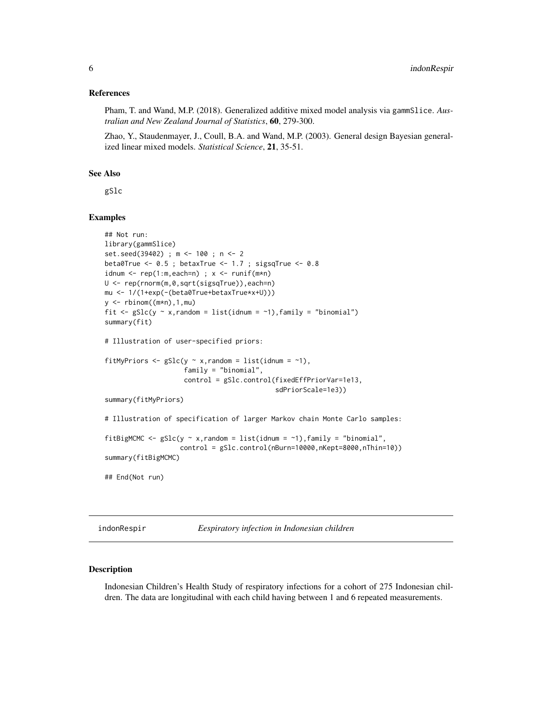#### <span id="page-5-0"></span>References

Pham, T. and Wand, M.P. (2018). Generalized additive mixed model analysis via gammSlice. *Australian and New Zealand Journal of Statistics*, 60, 279-300.

Zhao, Y., Staudenmayer, J., Coull, B.A. and Wand, M.P. (2003). General design Bayesian generalized linear mixed models. *Statistical Science*, 21, 35-51.

#### See Also

gSlc

#### Examples

```
## Not run:
library(gammSlice)
set.seed(39402) ; m <- 100 ; n <- 2
beta0True <- 0.5 ; betaxTrue <- 1.7 ; sigsqTrue <- 0.8
idnum \leq rep(1:m,each=n) ; x \leq runif(m*n)
U <- rep(rnorm(m,0,sqrt(sigsqTrue)),each=n)
mu <- 1/(1+exp(-(beta0True+betaxTrue*x+U)))
y \leftarrow \text{rbinom}((m*n), 1, mu)fit \leq gSlc(y \sim x, random = list(idnum = \sim1), family = "binomial")
summary(fit)
# Illustration of user-specified priors:
fitMyPriors \leq gSlc(y \sim x, random = list(idnum = \sim1),
                     family = "binomial",
                     control = gSlc.control(fixedEffPriorVar=1e13,
                                              sdPriorScale=1e3))
summary(fitMyPriors)
# Illustration of specification of larger Markov chain Monte Carlo samples:
fitBigMCMC <- gSlc(y \sim x, random = list(idnum = ~1), family = "binomial",
                    control = gSlc.control(nBurn=10000,nKept=8000,nThin=10))
summary(fitBigMCMC)
## End(Not run)
```
indonRespir *Eespiratory infection in Indonesian children*

#### Description

Indonesian Children's Health Study of respiratory infections for a cohort of 275 Indonesian children. The data are longitudinal with each child having between 1 and 6 repeated measurements.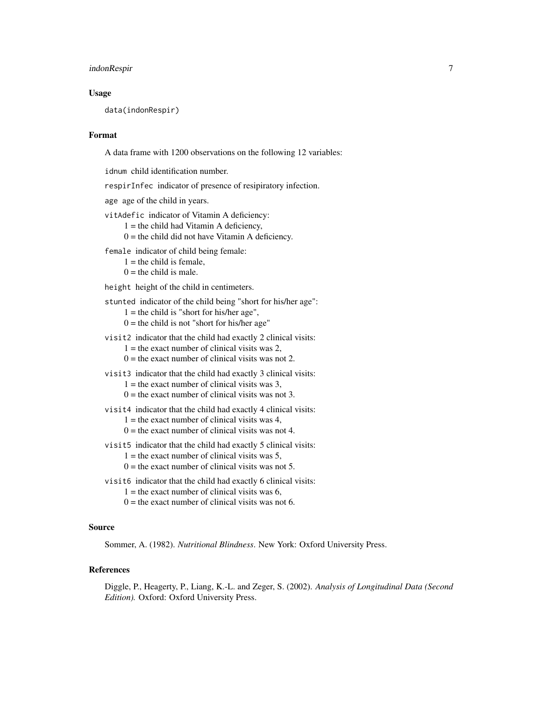#### indonRespir 7

#### Usage

data(indonRespir)

#### Format

A data frame with 1200 observations on the following 12 variables:

idnum child identification number.

respirInfec indicator of presence of resipiratory infection.

age age of the child in years.

vitAdefic indicator of Vitamin A deficiency:

 $1 =$  the child had Vitamin A deficiency,

 $0 =$  the child did not have Vitamin A deficiency.

female indicator of child being female:

 $1 =$  the child is female,

 $0 =$  the child is male.

height height of the child in centimeters.

stunted indicator of the child being "short for his/her age":

 $1 =$  the child is "short for his/her age",

 $0 =$  the child is not "short for his/her age"

visit2 indicator that the child had exactly 2 clinical visits:

 $1 =$  the exact number of clinical visits was 2.

 $0 =$  the exact number of clinical visits was not 2.

visit3 indicator that the child had exactly 3 clinical visits:

 $1 =$  the exact number of clinical visits was 3,

 $0 =$  the exact number of clinical visits was not 3.

visit4 indicator that the child had exactly 4 clinical visits:

- $1 =$  the exact number of clinical visits was 4,
- $0 =$  the exact number of clinical visits was not 4.
- visit5 indicator that the child had exactly 5 clinical visits:

 $1 =$  the exact number of clinical visits was 5,

- $0 =$  the exact number of clinical visits was not 5.
- visit6 indicator that the child had exactly 6 clinical visits:
	- $1 =$  the exact number of clinical visits was 6,
	- $0 =$  the exact number of clinical visits was not 6.

#### Source

Sommer, A. (1982). *Nutritional Blindness*. New York: Oxford University Press.

#### References

Diggle, P., Heagerty, P., Liang, K.-L. and Zeger, S. (2002). *Analysis of Longitudinal Data (Second Edition).* Oxford: Oxford University Press.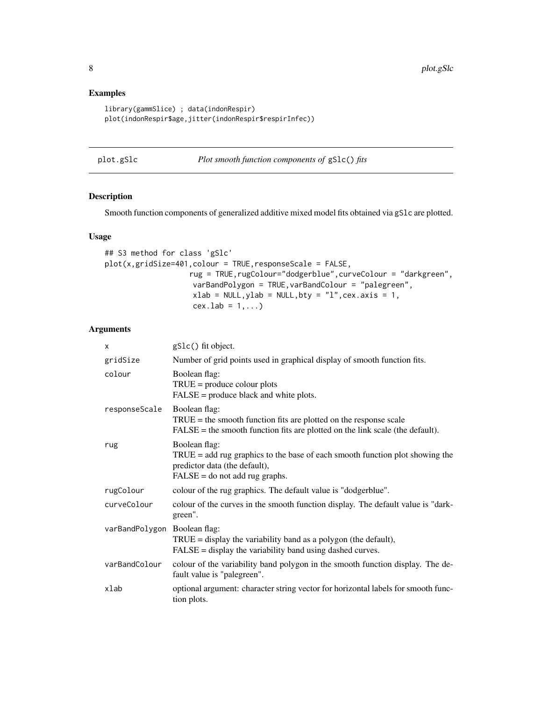#### Examples

```
library(gammSlice) ; data(indonRespir)
plot(indonRespir$age,jitter(indonRespir$respirInfec))
```
<span id="page-7-1"></span>plot.gSlc *Plot smooth function components of* gSlc() *fits*

#### Description

Smooth function components of generalized additive mixed model fits obtained via gSlc are plotted.

#### Usage

```
## S3 method for class 'gSlc'
plot(x,gridSize=401, colour = TRUE, responseScale = FALSE,rug = TRUE,rugColour="dodgerblue",curveColour = "darkgreen",
                    varBandPolygon = TRUE,varBandColour = "palegreen",
                    xlab = NULL, ylab = NULL, bty = "l", cex. axis = 1,cex.1ab = 1,...)
```
#### Arguments

| х                            | gS1c() fit object.                                                                                                                                                      |
|------------------------------|-------------------------------------------------------------------------------------------------------------------------------------------------------------------------|
| gridSize                     | Number of grid points used in graphical display of smooth function fits.                                                                                                |
| colour                       | Boolean flag:<br>$TRUE = produce colour plots$<br>$FALSE = produce black and white plots.$                                                                              |
| responseScale                | Boolean flag:<br>$TRUE =$ the smooth function fits are plotted on the response scale<br>$FALSE = the smooth function fits are plotted on the link scale (the default).$ |
| rug                          | Boolean flag:<br>$TRUE = add rug$ graphics to the base of each smooth function plot showing the<br>predictor data (the default),<br>$FALSE = do not add rug graphs.$    |
| rugColour                    | colour of the rug graphics. The default value is "dodgerblue".                                                                                                          |
| curveColour                  | colour of the curves in the smooth function display. The default value is "dark-<br>green".                                                                             |
| varBandPolygon Boolean flag: | $TRUE = display$ the variability band as a polygon (the default),<br>$FALSE = display the variability band using dashed curves.$                                        |
| varBandColour                | colour of the variability band polygon in the smooth function display. The de-<br>fault value is "palegreen".                                                           |
| xlab                         | optional argument: character string vector for horizontal labels for smooth func-<br>tion plots.                                                                        |

<span id="page-7-0"></span>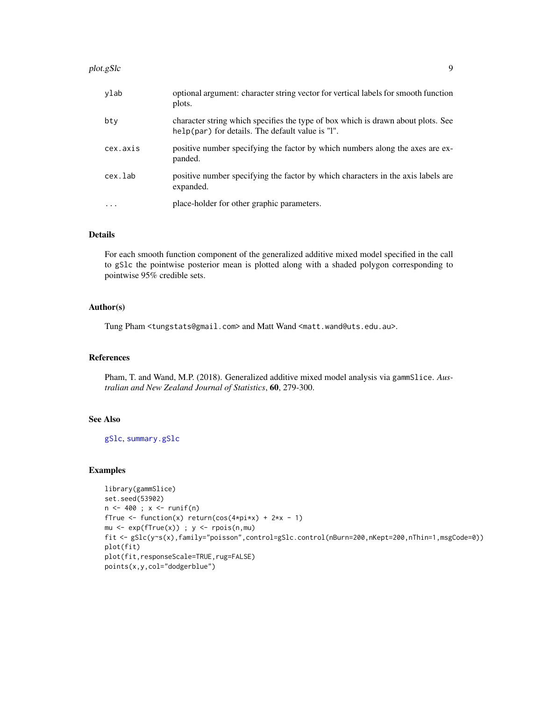#### <span id="page-8-0"></span>plot.gSlc 99

| ylab      | optional argument: character string vector for vertical labels for smooth function<br>plots.                                          |
|-----------|---------------------------------------------------------------------------------------------------------------------------------------|
| bty       | character string which specifies the type of box which is drawn about plots. See<br>help(par) for details. The default value is $T$ . |
| cex.axis  | positive number specifying the factor by which numbers along the axes are ex-<br>panded.                                              |
| cex.lab   | positive number specifying the factor by which characters in the axis labels are<br>expanded.                                         |
| $\ddotsc$ | place-holder for other graphic parameters.                                                                                            |

#### Details

For each smooth function component of the generalized additive mixed model specified in the call to gSlc the pointwise posterior mean is plotted along with a shaded polygon corresponding to pointwise 95% credible sets.

#### Author(s)

Tung Pham <tungstats@gmail.com> and Matt Wand <matt.wand@uts.edu.au>.

#### References

Pham, T. and Wand, M.P. (2018). Generalized additive mixed model analysis via gammSlice. *Australian and New Zealand Journal of Statistics*, 60, 279-300.

#### See Also

[gSlc](#page-1-1), [summary.gSlc](#page-9-1)

#### Examples

```
library(gammSlice)
set.seed(53902)
n < -400; x < -runif(n)
fTrue \le function(x) return(cos(4*pi*x) + 2*x - 1)
mu \leq exp(fTrue(x)) ; y \leq rpois(n,mu)
fit <- gSlc(y~s(x),family="poisson",control=gSlc.control(nBurn=200,nKept=200,nThin=1,msgCode=0))
plot(fit)
plot(fit,responseScale=TRUE,rug=FALSE)
points(x,y,col="dodgerblue")
```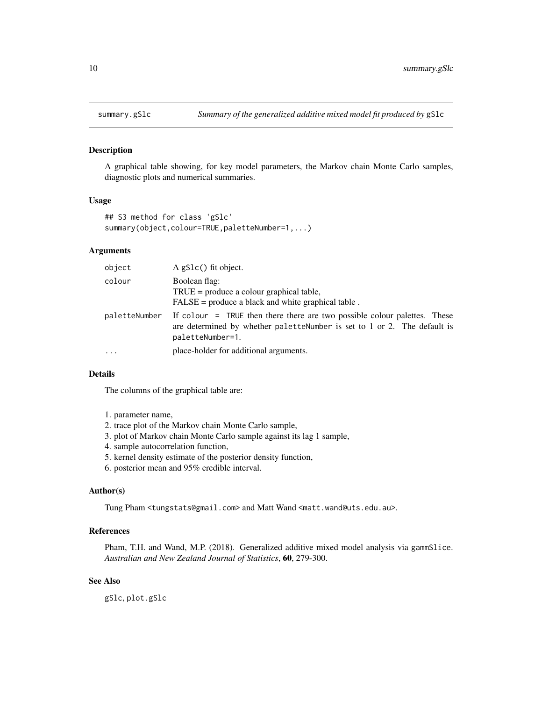<span id="page-9-1"></span><span id="page-9-0"></span>

#### Description

A graphical table showing, for key model parameters, the Markov chain Monte Carlo samples, diagnostic plots and numerical summaries.

#### Usage

```
## S3 method for class 'gSlc'
summary(object,colour=TRUE,paletteNumber=1,...)
```
#### Arguments

| object        | A gS1c() fit object.                                                                                                                                                      |
|---------------|---------------------------------------------------------------------------------------------------------------------------------------------------------------------------|
| colour        | Boolean flag:<br>$TRUE = produce a colour graphical table,$<br>$FALSE = produce a black and white graphical table.$                                                       |
| paletteNumber | If colour = TRUE then there there are two possible colour palettes. These<br>are determined by whether palettenumber is set to 1 or 2. The default is<br>paletteNumber=1. |
| .             | place-holder for additional arguments.                                                                                                                                    |

#### Details

The columns of the graphical table are:

- 1. parameter name,
- 2. trace plot of the Markov chain Monte Carlo sample,
- 3. plot of Markov chain Monte Carlo sample against its lag 1 sample,
- 4. sample autocorrelation function,
- 5. kernel density estimate of the posterior density function,
- 6. posterior mean and 95% credible interval.

#### Author(s)

Tung Pham <tungstats@gmail.com> and Matt Wand <matt.wand@uts.edu.au>.

#### References

Pham, T.H. and Wand, M.P. (2018). Generalized additive mixed model analysis via gammSlice. *Australian and New Zealand Journal of Statistics*, 60, 279-300.

#### See Also

gSlc, plot.gSlc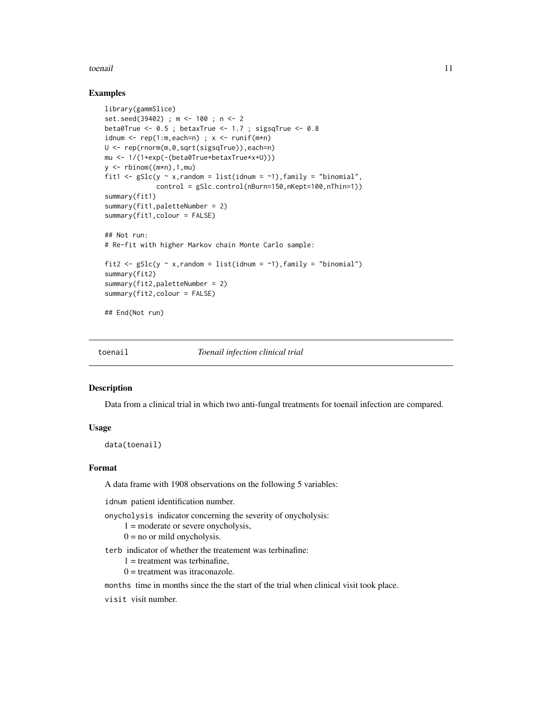#### <span id="page-10-0"></span>toenail and the state of the state of the state of the state of the state of the state of the state of the state of the state of the state of the state of the state of the state of the state of the state of the state of th

#### Examples

```
library(gammSlice)
set.seed(39402) ; m <- 100 ; n <- 2
beta0True \leq -0.5; betaxTrue \leq -1.7; sigsqTrue \leq -0.8idnum \leq rep(1:m,each=n) ; x \leq runif(m*n)
U <- rep(rnorm(m,0,sqrt(sigsqTrue)),each=n)
mu <- 1/(1+exp(-(beta0True+betaxTrue*x+U)))
y <- rbinom((m*n),1,mu)
fit1 <- gSlc(y \sim x,random = list(idnum = ~1), family = "binomial",
              control = gSlc.control(nBurn=150,nKept=100,nThin=1))
summary(fit1)
summary(fit1,paletteNumber = 2)
summary(fit1,colour = FALSE)
## Not run:
# Re-fit with higher Markov chain Monte Carlo sample:
fit2 <- gSlc(y \sim x, \text{random} = list(idnum = \sim 1), \text{family} = "binomial")summary(fit2)
summary(fit2,paletteNumber = 2)
summary(fit2,colour = FALSE)
## End(Not run)
```
toenail *Toenail infection clinical trial*

#### Description

Data from a clinical trial in which two anti-fungal treatments for toenail infection are compared.

#### Usage

data(toenail)

#### Format

A data frame with 1908 observations on the following 5 variables:

idnum patient identification number.

onycholysis indicator concerning the severity of onycholysis:

- $1 =$  moderate or severe onycholysis,
- $0 =$  no or mild onycholysis.

terb indicator of whether the treatement was terbinafine:

- $1 =$  treatment was terbinafine,
- $0 =$  treatment was itraconazole.

months time in months since the the start of the trial when clinical visit took place.

visit visit number.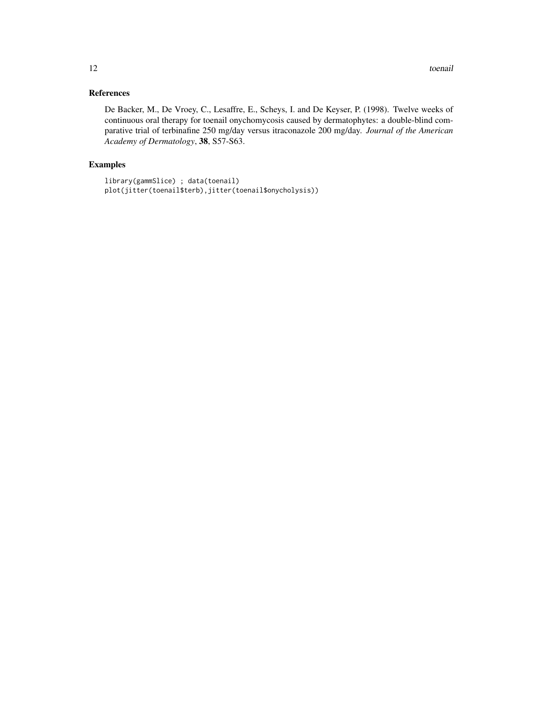#### References

De Backer, M., De Vroey, C., Lesaffre, E., Scheys, I. and De Keyser, P. (1998). Twelve weeks of continuous oral therapy for toenail onychomycosis caused by dermatophytes: a double-blind comparative trial of terbinafine 250 mg/day versus itraconazole 200 mg/day. *Journal of the American Academy of Dermatology*, 38, S57-S63.

#### Examples

```
library(gammSlice) ; data(toenail)
plot(jitter(toenail$terb),jitter(toenail$onycholysis))
```